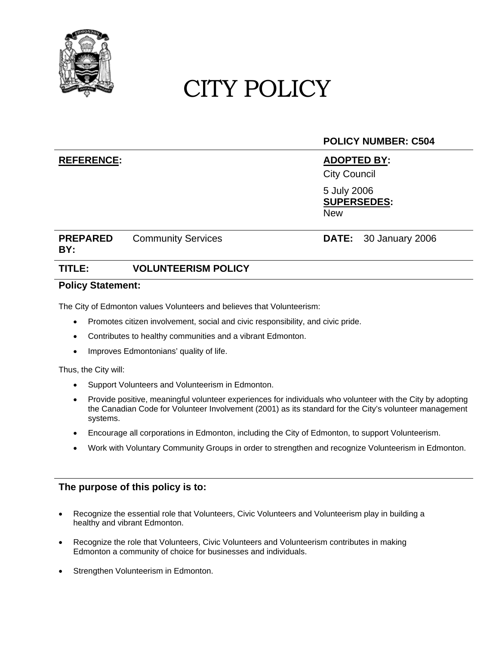

# CITY POLICY

## **POLICY NUMBER: C504**

### **REFERENCE: ADOPTED BY:**

City Council

5 July 2006 **SUPERSEDES:**  New

# **PREPARED BY:**

Community Services **DATE:** 30 January 2006

# **TITLE: VOLUNTEERISM POLICY**

#### **Policy Statement:**

The City of Edmonton values Volunteers and believes that Volunteerism:

- Promotes citizen involvement, social and civic responsibility, and civic pride.
- Contributes to healthy communities and a vibrant Edmonton.
- Improves Edmontonians' quality of life.

#### Thus, the City will:

- Support Volunteers and Volunteerism in Edmonton.
- Provide positive, meaningful volunteer experiences for individuals who volunteer with the City by adopting the Canadian Code for Volunteer Involvement (2001) as its standard for the City's volunteer management systems.
- Encourage all corporations in Edmonton, including the City of Edmonton, to support Volunteerism.
- Work with Voluntary Community Groups in order to strengthen and recognize Volunteerism in Edmonton.

### **The purpose of this policy is to:**

- Recognize the essential role that Volunteers, Civic Volunteers and Volunteerism play in building a healthy and vibrant Edmonton.
- Recognize the role that Volunteers, Civic Volunteers and Volunteerism contributes in making Edmonton a community of choice for businesses and individuals.
- Strengthen Volunteerism in Edmonton.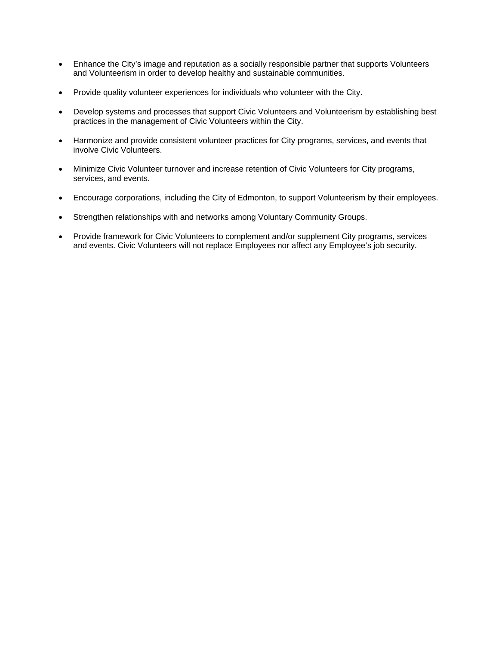- Enhance the City's image and reputation as a socially responsible partner that supports Volunteers and Volunteerism in order to develop healthy and sustainable communities.
- Provide quality volunteer experiences for individuals who volunteer with the City.
- Develop systems and processes that support Civic Volunteers and Volunteerism by establishing best practices in the management of Civic Volunteers within the City.
- Harmonize and provide consistent volunteer practices for City programs, services, and events that involve Civic Volunteers.
- Minimize Civic Volunteer turnover and increase retention of Civic Volunteers for City programs, services, and events.
- Encourage corporations, including the City of Edmonton, to support Volunteerism by their employees.
- Strengthen relationships with and networks among Voluntary Community Groups.
- Provide framework for Civic Volunteers to complement and/or supplement City programs, services and events. Civic Volunteers will not replace Employees nor affect any Employee's job security.